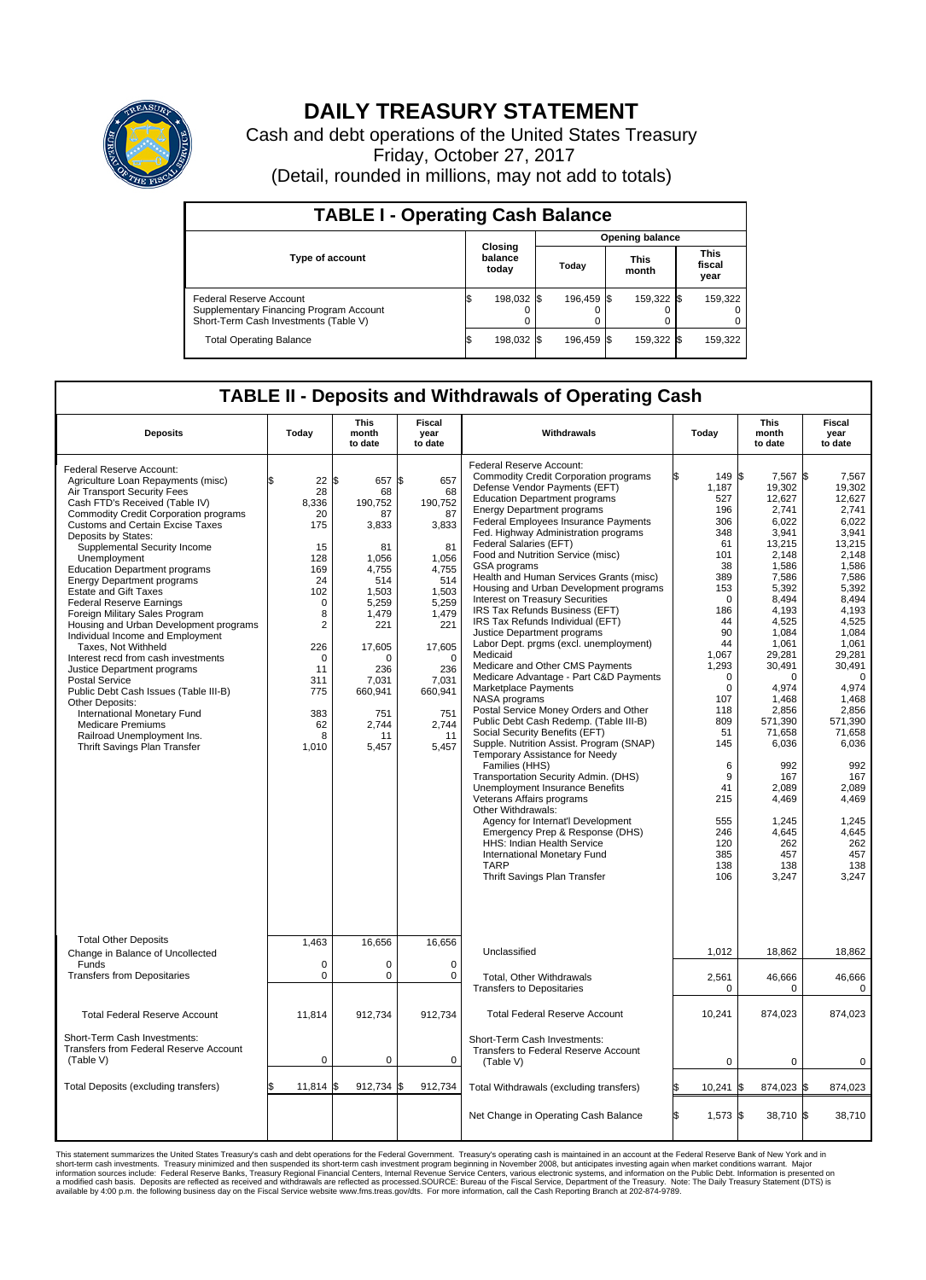

## **DAILY TREASURY STATEMENT**

Cash and debt operations of the United States Treasury Friday, October 27, 2017 (Detail, rounded in millions, may not add to totals)

| <b>TABLE I - Operating Cash Balance</b>                                                                     |   |                             |                        |            |  |                      |  |                               |  |  |
|-------------------------------------------------------------------------------------------------------------|---|-----------------------------|------------------------|------------|--|----------------------|--|-------------------------------|--|--|
|                                                                                                             |   |                             | <b>Opening balance</b> |            |  |                      |  |                               |  |  |
| Type of account                                                                                             |   | Closing<br>balance<br>today |                        | Today      |  | <b>This</b><br>month |  | <b>This</b><br>fiscal<br>year |  |  |
| Federal Reserve Account<br>Supplementary Financing Program Account<br>Short-Term Cash Investments (Table V) |   | 198,032                     |                        | 196.459 \$ |  | 159,322 \$           |  | 159,322                       |  |  |
| <b>Total Operating Balance</b>                                                                              | S | 198,032                     |                        | 196.459 \$ |  | 159,322 \$           |  | 159,322                       |  |  |

## **TABLE II - Deposits and Withdrawals of Operating Cash**

| <b>Deposits</b>                                                                                                                                                                                                                                                                                                                                                                                                                                                                                                                                                                                                                                                                                                                                                                                                                                                | Today                                                                                                                                                                      | This<br>month<br>to date                                                                                                                                                                       | Fiscal<br>year<br>to date                                                                                                                                                            | Withdrawals                                                                                                                                                                                                                                                                                                                                                                                                                                                                                                                                                                                                                                                                                                                                                                                                                                                                                                                                                                                                                                                                                                                                                                                                                                                                                                  | Today                                                                                                                                                                                                                                                                | <b>This</b><br>month<br>to date                                                                                                                                                                                                                                                                                             | Fiscal<br>year<br>to date                                                                                                                                                                                                                                                                                                   |
|----------------------------------------------------------------------------------------------------------------------------------------------------------------------------------------------------------------------------------------------------------------------------------------------------------------------------------------------------------------------------------------------------------------------------------------------------------------------------------------------------------------------------------------------------------------------------------------------------------------------------------------------------------------------------------------------------------------------------------------------------------------------------------------------------------------------------------------------------------------|----------------------------------------------------------------------------------------------------------------------------------------------------------------------------|------------------------------------------------------------------------------------------------------------------------------------------------------------------------------------------------|--------------------------------------------------------------------------------------------------------------------------------------------------------------------------------------|--------------------------------------------------------------------------------------------------------------------------------------------------------------------------------------------------------------------------------------------------------------------------------------------------------------------------------------------------------------------------------------------------------------------------------------------------------------------------------------------------------------------------------------------------------------------------------------------------------------------------------------------------------------------------------------------------------------------------------------------------------------------------------------------------------------------------------------------------------------------------------------------------------------------------------------------------------------------------------------------------------------------------------------------------------------------------------------------------------------------------------------------------------------------------------------------------------------------------------------------------------------------------------------------------------------|----------------------------------------------------------------------------------------------------------------------------------------------------------------------------------------------------------------------------------------------------------------------|-----------------------------------------------------------------------------------------------------------------------------------------------------------------------------------------------------------------------------------------------------------------------------------------------------------------------------|-----------------------------------------------------------------------------------------------------------------------------------------------------------------------------------------------------------------------------------------------------------------------------------------------------------------------------|
| Federal Reserve Account:<br>Agriculture Loan Repayments (misc)<br>Air Transport Security Fees<br>Cash FTD's Received (Table IV)<br><b>Commodity Credit Corporation programs</b><br><b>Customs and Certain Excise Taxes</b><br>Deposits by States:<br>Supplemental Security Income<br>Unemployment<br><b>Education Department programs</b><br><b>Energy Department programs</b><br>Estate and Gift Taxes<br><b>Federal Reserve Earnings</b><br>Foreign Military Sales Program<br>Housing and Urban Development programs<br>Individual Income and Employment<br>Taxes, Not Withheld<br>Interest recd from cash investments<br>Justice Department programs<br>Postal Service<br>Public Debt Cash Issues (Table III-B)<br>Other Deposits:<br>International Monetary Fund<br><b>Medicare Premiums</b><br>Railroad Unemployment Ins.<br>Thrift Savings Plan Transfer | 22<br>28<br>8,336<br>20<br>175<br>15<br>128<br>169<br>24<br>102<br>$\mathbf 0$<br>8<br>$\overline{2}$<br>226<br>$\mathbf 0$<br>11<br>311<br>775<br>383<br>62<br>8<br>1,010 | l\$<br>657 \$<br>68<br>190,752<br>87<br>3,833<br>81<br>1,056<br>4,755<br>514<br>1.503<br>5,259<br>1,479<br>221<br>17,605<br>$\Omega$<br>236<br>7,031<br>660,941<br>751<br>2.744<br>11<br>5,457 | 657<br>68<br>190,752<br>87<br>3,833<br>81<br>1,056<br>4,755<br>514<br>1.503<br>5,259<br>1,479<br>221<br>17,605<br>$\Omega$<br>236<br>7,031<br>660,941<br>751<br>2,744<br>11<br>5,457 | Federal Reserve Account:<br><b>Commodity Credit Corporation programs</b><br>Defense Vendor Payments (EFT)<br><b>Education Department programs</b><br><b>Energy Department programs</b><br>Federal Employees Insurance Payments<br>Fed. Highway Administration programs<br>Federal Salaries (EFT)<br>Food and Nutrition Service (misc)<br>GSA programs<br>Health and Human Services Grants (misc)<br>Housing and Urban Development programs<br>Interest on Treasury Securities<br>IRS Tax Refunds Business (EFT)<br>IRS Tax Refunds Individual (EFT)<br>Justice Department programs<br>Labor Dept. prgms (excl. unemployment)<br>Medicaid<br>Medicare and Other CMS Payments<br>Medicare Advantage - Part C&D Payments<br>Marketplace Payments<br>NASA programs<br>Postal Service Money Orders and Other<br>Public Debt Cash Redemp. (Table III-B)<br>Social Security Benefits (EFT)<br>Supple. Nutrition Assist. Program (SNAP)<br>Temporary Assistance for Needy<br>Families (HHS)<br>Transportation Security Admin. (DHS)<br><b>Unemployment Insurance Benefits</b><br>Veterans Affairs programs<br>Other Withdrawals:<br>Agency for Internat'l Development<br>Emergency Prep & Response (DHS)<br>HHS: Indian Health Service<br>International Monetary Fund<br><b>TARP</b><br>Thrift Savings Plan Transfer | 149 \$<br>1,187<br>527<br>196<br>306<br>348<br>61<br>101<br>38<br>389<br>153<br>$\Omega$<br>186<br>44<br>90<br>44<br>1.067<br>1,293<br>$\mathbf 0$<br>$\mathbf 0$<br>107<br>118<br>809<br>51<br>145<br>6<br>9<br>41<br>215<br>555<br>246<br>120<br>385<br>138<br>106 | 7,567 \$<br>19,302<br>12,627<br>2,741<br>6,022<br>3,941<br>13,215<br>2,148<br>1,586<br>7,586<br>5,392<br>8.494<br>4,193<br>4,525<br>1,084<br>1,061<br>29.281<br>30,491<br>$\Omega$<br>4,974<br>1.468<br>2,856<br>571,390<br>71,658<br>6,036<br>992<br>167<br>2.089<br>4.469<br>1,245<br>4.645<br>262<br>457<br>138<br>3,247 | 7,567<br>19,302<br>12.627<br>2,741<br>6,022<br>3,941<br>13.215<br>2,148<br>1,586<br>7,586<br>5,392<br>8.494<br>4,193<br>4,525<br>1,084<br>1,061<br>29.281<br>30,491<br>$\mathbf 0$<br>4,974<br>1.468<br>2,856<br>571,390<br>71,658<br>6,036<br>992<br>167<br>2.089<br>4.469<br>1,245<br>4,645<br>262<br>457<br>138<br>3,247 |
| <b>Total Other Deposits</b><br>Change in Balance of Uncollected<br>Funds<br><b>Transfers from Depositaries</b>                                                                                                                                                                                                                                                                                                                                                                                                                                                                                                                                                                                                                                                                                                                                                 | 1.463<br>$\mathbf 0$<br>$\mathbf 0$                                                                                                                                        | 16,656<br>0<br>$\mathbf 0$                                                                                                                                                                     | 16,656<br>$\mathbf 0$<br>$\mathbf 0$                                                                                                                                                 | Unclassified<br>Total, Other Withdrawals<br><b>Transfers to Depositaries</b>                                                                                                                                                                                                                                                                                                                                                                                                                                                                                                                                                                                                                                                                                                                                                                                                                                                                                                                                                                                                                                                                                                                                                                                                                                 | 1.012<br>2,561<br>0                                                                                                                                                                                                                                                  | 18.862<br>46,666<br>0                                                                                                                                                                                                                                                                                                       | 18,862<br>46,666<br>0                                                                                                                                                                                                                                                                                                       |
| <b>Total Federal Reserve Account</b>                                                                                                                                                                                                                                                                                                                                                                                                                                                                                                                                                                                                                                                                                                                                                                                                                           | 11.814                                                                                                                                                                     | 912,734                                                                                                                                                                                        | 912,734                                                                                                                                                                              | <b>Total Federal Reserve Account</b>                                                                                                                                                                                                                                                                                                                                                                                                                                                                                                                                                                                                                                                                                                                                                                                                                                                                                                                                                                                                                                                                                                                                                                                                                                                                         | 10,241                                                                                                                                                                                                                                                               | 874,023                                                                                                                                                                                                                                                                                                                     | 874,023                                                                                                                                                                                                                                                                                                                     |
| Short-Term Cash Investments:<br>Transfers from Federal Reserve Account<br>(Table V)                                                                                                                                                                                                                                                                                                                                                                                                                                                                                                                                                                                                                                                                                                                                                                            | $\mathbf 0$                                                                                                                                                                | $\mathbf 0$                                                                                                                                                                                    | 0                                                                                                                                                                                    | Short-Term Cash Investments:<br>Transfers to Federal Reserve Account<br>(Table V)                                                                                                                                                                                                                                                                                                                                                                                                                                                                                                                                                                                                                                                                                                                                                                                                                                                                                                                                                                                                                                                                                                                                                                                                                            | $\mathbf 0$                                                                                                                                                                                                                                                          | 0                                                                                                                                                                                                                                                                                                                           | 0                                                                                                                                                                                                                                                                                                                           |
| Total Deposits (excluding transfers)                                                                                                                                                                                                                                                                                                                                                                                                                                                                                                                                                                                                                                                                                                                                                                                                                           | 11.814                                                                                                                                                                     | 912,734<br>ß.                                                                                                                                                                                  | 912,734<br>\$                                                                                                                                                                        | Total Withdrawals (excluding transfers)                                                                                                                                                                                                                                                                                                                                                                                                                                                                                                                                                                                                                                                                                                                                                                                                                                                                                                                                                                                                                                                                                                                                                                                                                                                                      | 10,241                                                                                                                                                                                                                                                               | 874,023 \$<br>1\$                                                                                                                                                                                                                                                                                                           | 874,023                                                                                                                                                                                                                                                                                                                     |
|                                                                                                                                                                                                                                                                                                                                                                                                                                                                                                                                                                                                                                                                                                                                                                                                                                                                |                                                                                                                                                                            |                                                                                                                                                                                                |                                                                                                                                                                                      | Net Change in Operating Cash Balance                                                                                                                                                                                                                                                                                                                                                                                                                                                                                                                                                                                                                                                                                                                                                                                                                                                                                                                                                                                                                                                                                                                                                                                                                                                                         | 1,573 \$<br>l\$                                                                                                                                                                                                                                                      | 38,710 \$                                                                                                                                                                                                                                                                                                                   | 38,710                                                                                                                                                                                                                                                                                                                      |

This statement summarizes the United States Treasury's cash and debt operations for the Federal Government. Treasury operating in November 2008, but anticinates investing again when market conditions warrant. Major York an